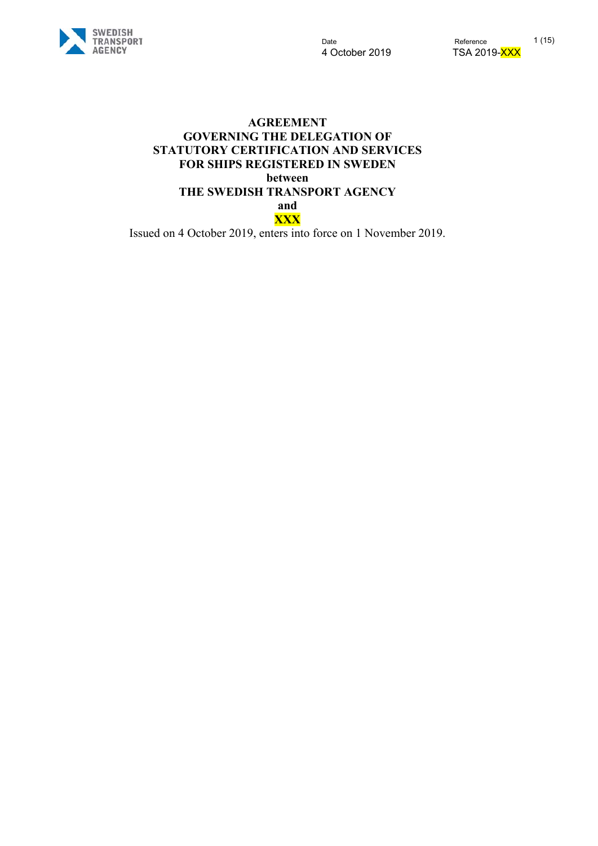

# **AGREEMENT GOVERNING THE DELEGATION OF STATUTORY CERTIFICATION AND SERVICES FOR SHIPS REGISTERED IN SWEDEN between THE SWEDISH TRANSPORT AGENCY and XXX**

Issued on 4 October 2019, enters into force on 1 November 2019.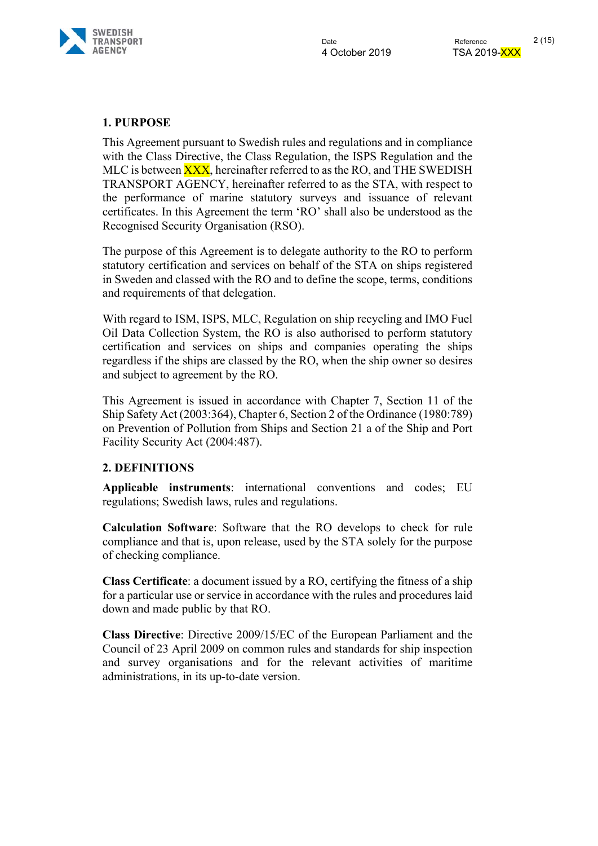

# **1. PURPOSE**

This Agreement pursuant to Swedish rules and regulations and in compliance with the Class Directive, the Class Regulation, the ISPS Regulation and the MLC is between **XXX**, hereinafter referred to as the RO, and THE SWEDISH TRANSPORT AGENCY, hereinafter referred to as the STA, with respect to the performance of marine statutory surveys and issuance of relevant certificates. In this Agreement the term 'RO' shall also be understood as the Recognised Security Organisation (RSO).

The purpose of this Agreement is to delegate authority to the RO to perform statutory certification and services on behalf of the STA on ships registered in Sweden and classed with the RO and to define the scope, terms, conditions and requirements of that delegation.

With regard to ISM, ISPS, MLC, Regulation on ship recycling and IMO Fuel Oil Data Collection System, the RO is also authorised to perform statutory certification and services on ships and companies operating the ships regardless if the ships are classed by the RO, when the ship owner so desires and subject to agreement by the RO.

This Agreement is issued in accordance with Chapter 7, Section 11 of the Ship Safety Act (2003:364), Chapter 6, Section 2 of the Ordinance (1980:789) on Prevention of Pollution from Ships and Section 21 a of the Ship and Port Facility Security Act (2004:487).

# **2. DEFINITIONS**

**Applicable instruments**: international conventions and codes; EU regulations; Swedish laws, rules and regulations.

**Calculation Software**: Software that the RO develops to check for rule compliance and that is, upon release, used by the STA solely for the purpose of checking compliance.

**Class Certificate**: a document issued by a RO, certifying the fitness of a ship for a particular use or service in accordance with the rules and procedures laid down and made public by that RO.

**Class Directive**: Directive 2009/15/EC of the European Parliament and the Council of 23 April 2009 on common rules and standards for ship inspection and survey organisations and for the relevant activities of maritime administrations, in its up-to-date version.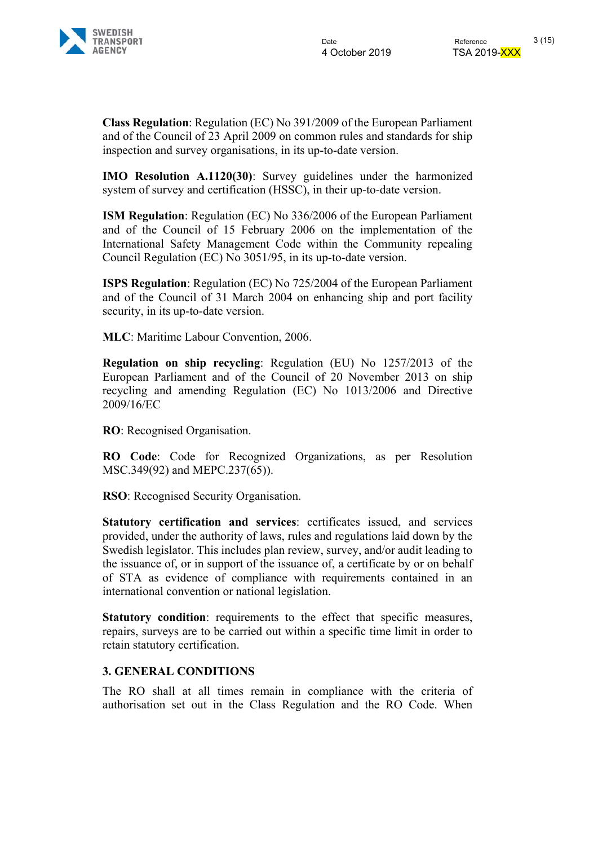

**Class Regulation**: Regulation (EC) No 391/2009 of the European Parliament and of the Council of 23 April 2009 on common rules and standards for ship inspection and survey organisations, in its up-to-date version.

**IMO Resolution A.1120(30)**: Survey guidelines under the harmonized system of survey and certification (HSSC), in their up-to-date version.

**ISM Regulation**: Regulation (EC) No 336/2006 of the European Parliament and of the Council of 15 February 2006 on the implementation of the International Safety Management Code within the Community repealing Council Regulation (EC) No 3051/95, in its up-to-date version.

**ISPS Regulation**: Regulation (EC) No 725/2004 of the European Parliament and of the Council of 31 March 2004 on enhancing ship and port facility security, in its up-to-date version.

**MLC**: Maritime Labour Convention, 2006.

**Regulation on ship recycling**: Regulation (EU) No 1257/2013 of the European Parliament and of the Council of 20 November 2013 on ship recycling and amending Regulation (EC) No 1013/2006 and Directive 2009/16/EC

**RO**: Recognised Organisation.

**RO Code**: Code for Recognized Organizations, as per Resolution MSC.349(92) and MEPC.237(65)).

**RSO**: Recognised Security Organisation.

**Statutory certification and services**: certificates issued, and services provided, under the authority of laws, rules and regulations laid down by the Swedish legislator. This includes plan review, survey, and/or audit leading to the issuance of, or in support of the issuance of, a certificate by or on behalf of STA as evidence of compliance with requirements contained in an international convention or national legislation.

**Statutory condition**: requirements to the effect that specific measures, repairs, surveys are to be carried out within a specific time limit in order to retain statutory certification.

# **3. GENERAL CONDITIONS**

The RO shall at all times remain in compliance with the criteria of authorisation set out in the Class Regulation and the RO Code. When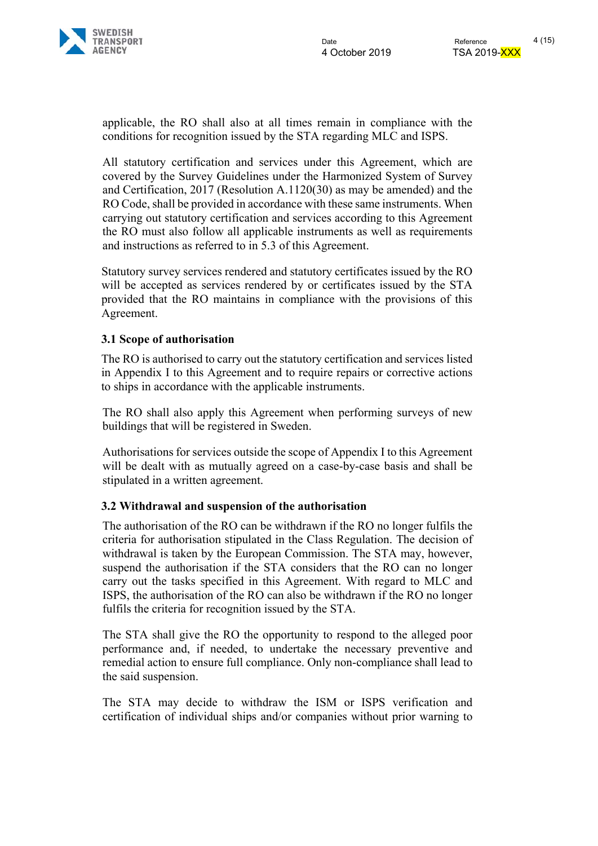

applicable, the RO shall also at all times remain in compliance with the conditions for recognition issued by the STA regarding MLC and ISPS.

All statutory certification and services under this Agreement, which are covered by the Survey Guidelines under the Harmonized System of Survey and Certification, 2017 (Resolution A.1120(30) as may be amended) and the RO Code, shall be provided in accordance with these same instruments. When carrying out statutory certification and services according to this Agreement the RO must also follow all applicable instruments as well as requirements and instructions as referred to in 5.3 of this Agreement.

Statutory survey services rendered and statutory certificates issued by the RO will be accepted as services rendered by or certificates issued by the STA provided that the RO maintains in compliance with the provisions of this Agreement.

#### **3.1 Scope of authorisation**

The RO is authorised to carry out the statutory certification and services listed in Appendix I to this Agreement and to require repairs or corrective actions to ships in accordance with the applicable instruments.

The RO shall also apply this Agreement when performing surveys of new buildings that will be registered in Sweden.

Authorisations for services outside the scope of Appendix I to this Agreement will be dealt with as mutually agreed on a case-by-case basis and shall be stipulated in a written agreement.

#### **3.2 Withdrawal and suspension of the authorisation**

The authorisation of the RO can be withdrawn if the RO no longer fulfils the criteria for authorisation stipulated in the Class Regulation. The decision of withdrawal is taken by the European Commission. The STA may, however, suspend the authorisation if the STA considers that the RO can no longer carry out the tasks specified in this Agreement. With regard to MLC and ISPS, the authorisation of the RO can also be withdrawn if the RO no longer fulfils the criteria for recognition issued by the STA.

The STA shall give the RO the opportunity to respond to the alleged poor performance and, if needed, to undertake the necessary preventive and remedial action to ensure full compliance. Only non-compliance shall lead to the said suspension.

The STA may decide to withdraw the ISM or ISPS verification and certification of individual ships and/or companies without prior warning to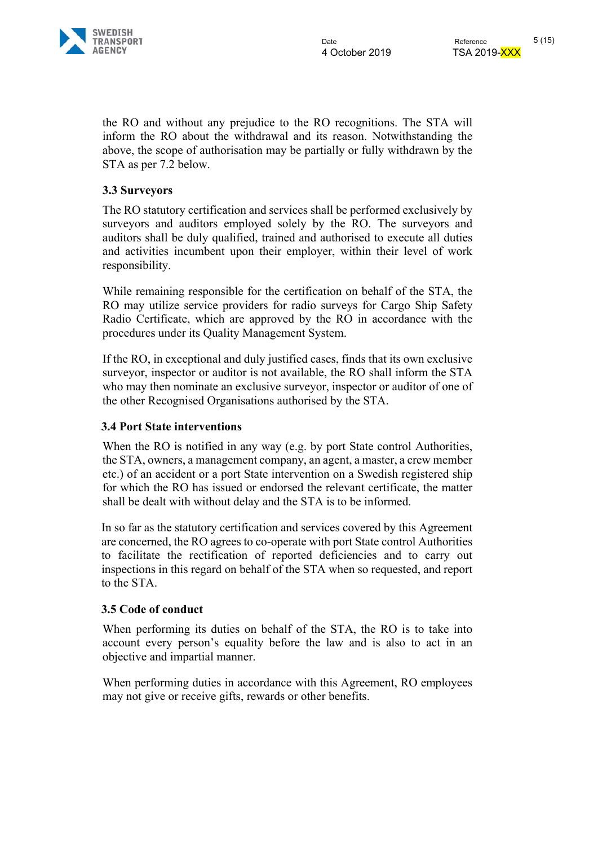

the RO and without any prejudice to the RO recognitions. The STA will inform the RO about the withdrawal and its reason. Notwithstanding the above, the scope of authorisation may be partially or fully withdrawn by the STA as per 7.2 below.

#### **3.3 Surveyors**

The RO statutory certification and services shall be performed exclusively by surveyors and auditors employed solely by the RO. The surveyors and auditors shall be duly qualified, trained and authorised to execute all duties and activities incumbent upon their employer, within their level of work responsibility.

While remaining responsible for the certification on behalf of the STA, the RO may utilize service providers for radio surveys for Cargo Ship Safety Radio Certificate, which are approved by the RO in accordance with the procedures under its Quality Management System.

If the RO, in exceptional and duly justified cases, finds that its own exclusive surveyor, inspector or auditor is not available, the RO shall inform the STA who may then nominate an exclusive surveyor, inspector or auditor of one of the other Recognised Organisations authorised by the STA.

#### **3.4 Port State interventions**

When the RO is notified in any way (e.g. by port State control Authorities, the STA, owners, a management company, an agent, a master, a crew member etc.) of an accident or a port State intervention on a Swedish registered ship for which the RO has issued or endorsed the relevant certificate, the matter shall be dealt with without delay and the STA is to be informed.

In so far as the statutory certification and services covered by this Agreement are concerned, the RO agrees to co-operate with port State control Authorities to facilitate the rectification of reported deficiencies and to carry out inspections in this regard on behalf of the STA when so requested, and report to the STA.

#### **3.5 Code of conduct**

When performing its duties on behalf of the STA, the RO is to take into account every person's equality before the law and is also to act in an objective and impartial manner.

When performing duties in accordance with this Agreement, RO employees may not give or receive gifts, rewards or other benefits.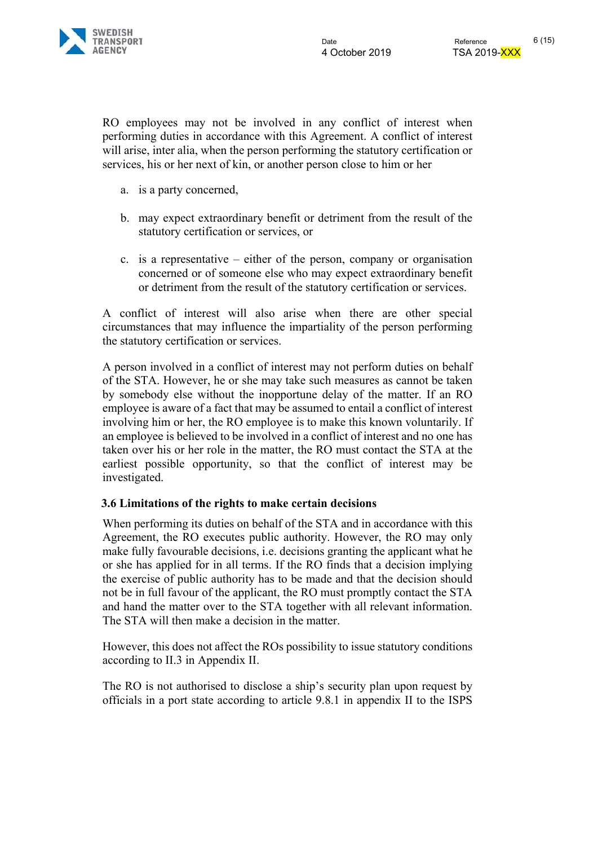

RO employees may not be involved in any conflict of interest when performing duties in accordance with this Agreement. A conflict of interest will arise, inter alia, when the person performing the statutory certification or services, his or her next of kin, or another person close to him or her

- a. is a party concerned,
- b. may expect extraordinary benefit or detriment from the result of the statutory certification or services, or
- c. is a representative either of the person, company or organisation concerned or of someone else who may expect extraordinary benefit or detriment from the result of the statutory certification or services.

A conflict of interest will also arise when there are other special circumstances that may influence the impartiality of the person performing the statutory certification or services.

A person involved in a conflict of interest may not perform duties on behalf of the STA. However, he or she may take such measures as cannot be taken by somebody else without the inopportune delay of the matter. If an RO employee is aware of a fact that may be assumed to entail a conflict of interest involving him or her, the RO employee is to make this known voluntarily. If an employee is believed to be involved in a conflict of interest and no one has taken over his or her role in the matter, the RO must contact the STA at the earliest possible opportunity, so that the conflict of interest may be investigated.

# **3.6 Limitations of the rights to make certain decisions**

When performing its duties on behalf of the STA and in accordance with this Agreement, the RO executes public authority. However, the RO may only make fully favourable decisions, i.e. decisions granting the applicant what he or she has applied for in all terms. If the RO finds that a decision implying the exercise of public authority has to be made and that the decision should not be in full favour of the applicant, the RO must promptly contact the STA and hand the matter over to the STA together with all relevant information. The STA will then make a decision in the matter.

However, this does not affect the ROs possibility to issue statutory conditions according to II.3 in Appendix II.

The RO is not authorised to disclose a ship's security plan upon request by officials in a port state according to article 9.8.1 in appendix II to the ISPS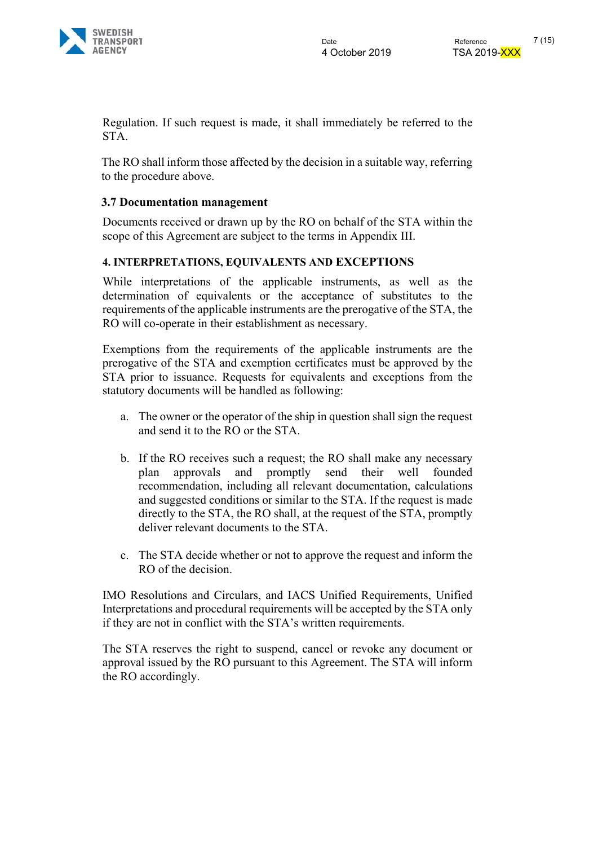

Regulation. If such request is made, it shall immediately be referred to the STA.

The RO shall inform those affected by the decision in a suitable way, referring to the procedure above.

#### **3.7 Documentation management**

Documents received or drawn up by the RO on behalf of the STA within the scope of this Agreement are subject to the terms in Appendix III.

#### **4. INTERPRETATIONS, EQUIVALENTS AND EXCEPTIONS**

While interpretations of the applicable instruments, as well as the determination of equivalents or the acceptance of substitutes to the requirements of the applicable instruments are the prerogative of the STA, the RO will co-operate in their establishment as necessary.

Exemptions from the requirements of the applicable instruments are the prerogative of the STA and exemption certificates must be approved by the STA prior to issuance. Requests for equivalents and exceptions from the statutory documents will be handled as following:

- a. The owner or the operator of the ship in question shall sign the request and send it to the RO or the STA.
- b. If the RO receives such a request; the RO shall make any necessary plan approvals and promptly send their well founded recommendation, including all relevant documentation, calculations and suggested conditions or similar to the STA. If the request is made directly to the STA, the RO shall, at the request of the STA, promptly deliver relevant documents to the STA.
- c. The STA decide whether or not to approve the request and inform the RO of the decision.

IMO Resolutions and Circulars, and IACS Unified Requirements, Unified Interpretations and procedural requirements will be accepted by the STA only if they are not in conflict with the STA's written requirements.

The STA reserves the right to suspend, cancel or revoke any document or approval issued by the RO pursuant to this Agreement. The STA will inform the RO accordingly.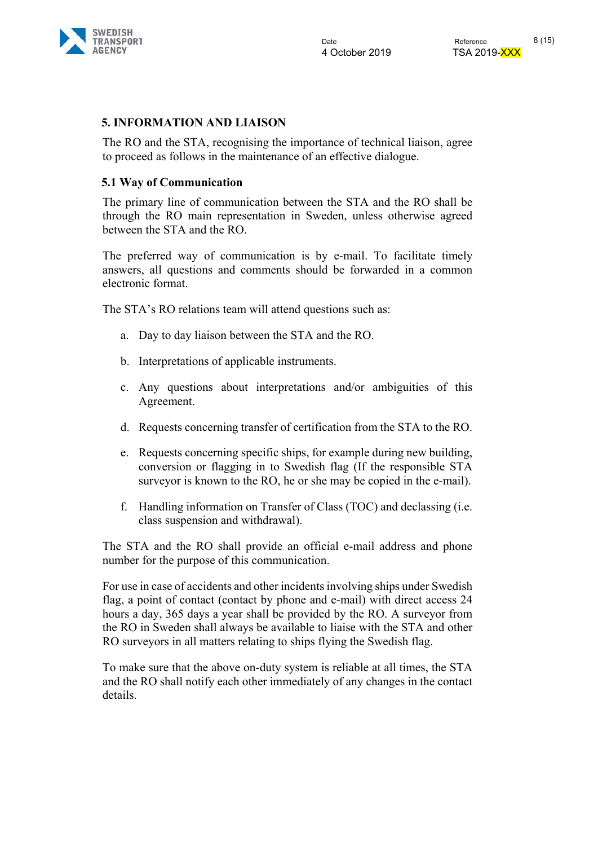

# **5. INFORMATION AND LIAISON**

The RO and the STA, recognising the importance of technical liaison, agree to proceed as follows in the maintenance of an effective dialogue.

#### **5.1 Way of Communication**

The primary line of communication between the STA and the RO shall be through the RO main representation in Sweden, unless otherwise agreed between the STA and the RO.

The preferred way of communication is by e-mail. To facilitate timely answers, all questions and comments should be forwarded in a common electronic format.

The STA's RO relations team will attend questions such as:

- a. Day to day liaison between the STA and the RO.
- b. Interpretations of applicable instruments.
- c. Any questions about interpretations and/or ambiguities of this Agreement.
- d. Requests concerning transfer of certification from the STA to the RO.
- e. Requests concerning specific ships, for example during new building, conversion or flagging in to Swedish flag (If the responsible STA surveyor is known to the RO, he or she may be copied in the e-mail).
- f. Handling information on Transfer of Class (TOC) and declassing (i.e. class suspension and withdrawal).

The STA and the RO shall provide an official e-mail address and phone number for the purpose of this communication.

For use in case of accidents and other incidents involving ships under Swedish flag, a point of contact (contact by phone and e-mail) with direct access 24 hours a day, 365 days a year shall be provided by the RO. A surveyor from the RO in Sweden shall always be available to liaise with the STA and other RO surveyors in all matters relating to ships flying the Swedish flag.

To make sure that the above on-duty system is reliable at all times, the STA and the RO shall notify each other immediately of any changes in the contact details.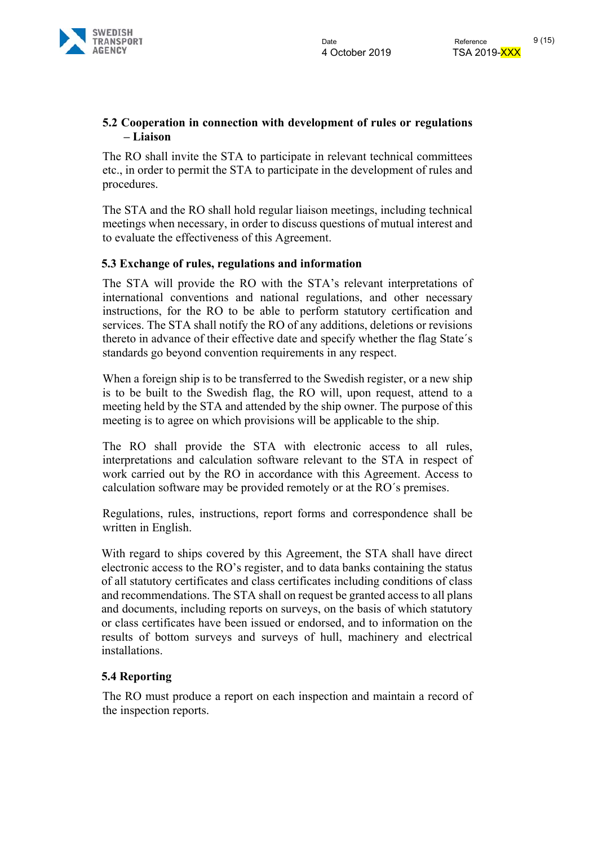

#### **5.2 Cooperation in connection with development of rules or regulations – Liaison**

The RO shall invite the STA to participate in relevant technical committees etc., in order to permit the STA to participate in the development of rules and procedures.

The STA and the RO shall hold regular liaison meetings, including technical meetings when necessary, in order to discuss questions of mutual interest and to evaluate the effectiveness of this Agreement.

# **5.3 Exchange of rules, regulations and information**

The STA will provide the RO with the STA's relevant interpretations of international conventions and national regulations, and other necessary instructions, for the RO to be able to perform statutory certification and services. The STA shall notify the RO of any additions, deletions or revisions thereto in advance of their effective date and specify whether the flag State´s standards go beyond convention requirements in any respect.

When a foreign ship is to be transferred to the Swedish register, or a new ship is to be built to the Swedish flag, the RO will, upon request, attend to a meeting held by the STA and attended by the ship owner. The purpose of this meeting is to agree on which provisions will be applicable to the ship.

The RO shall provide the STA with electronic access to all rules, interpretations and calculation software relevant to the STA in respect of work carried out by the RO in accordance with this Agreement. Access to calculation software may be provided remotely or at the RO´s premises.

Regulations, rules, instructions, report forms and correspondence shall be written in English.

With regard to ships covered by this Agreement, the STA shall have direct electronic access to the RO's register, and to data banks containing the status of all statutory certificates and class certificates including conditions of class and recommendations. The STA shall on request be granted access to all plans and documents, including reports on surveys, on the basis of which statutory or class certificates have been issued or endorsed, and to information on the results of bottom surveys and surveys of hull, machinery and electrical installations.

# **5.4 Reporting**

The RO must produce a report on each inspection and maintain a record of the inspection reports.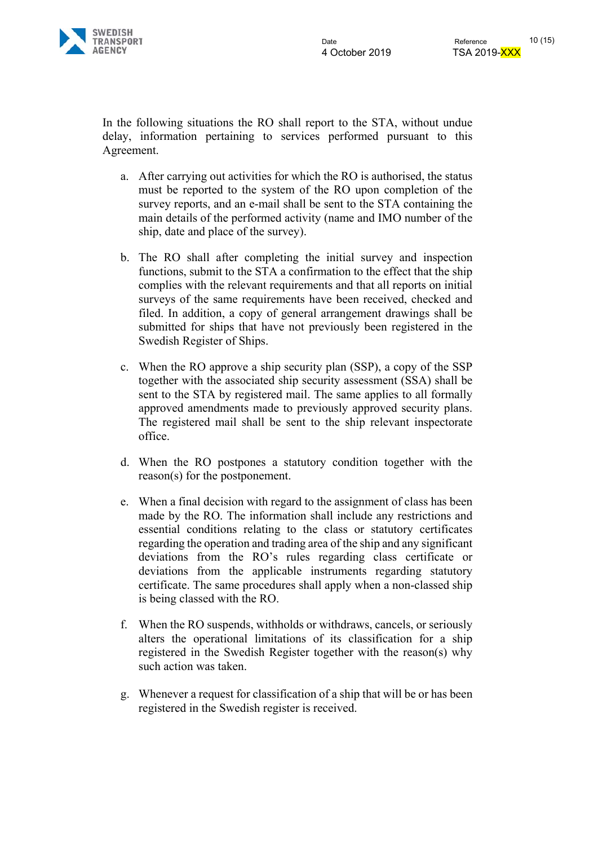

In the following situations the RO shall report to the STA, without undue delay, information pertaining to services performed pursuant to this Agreement.

- a. After carrying out activities for which the RO is authorised, the status must be reported to the system of the RO upon completion of the survey reports, and an e-mail shall be sent to the STA containing the main details of the performed activity (name and IMO number of the ship, date and place of the survey).
- b. The RO shall after completing the initial survey and inspection functions, submit to the STA a confirmation to the effect that the ship complies with the relevant requirements and that all reports on initial surveys of the same requirements have been received, checked and filed. In addition, a copy of general arrangement drawings shall be submitted for ships that have not previously been registered in the Swedish Register of Ships.
- c. When the RO approve a ship security plan (SSP), a copy of the SSP together with the associated ship security assessment (SSA) shall be sent to the STA by registered mail. The same applies to all formally approved amendments made to previously approved security plans. The registered mail shall be sent to the ship relevant inspectorate office.
- d. When the RO postpones a statutory condition together with the reason(s) for the postponement.
- e. When a final decision with regard to the assignment of class has been made by the RO. The information shall include any restrictions and essential conditions relating to the class or statutory certificates regarding the operation and trading area of the ship and any significant deviations from the RO's rules regarding class certificate or deviations from the applicable instruments regarding statutory certificate. The same procedures shall apply when a non-classed ship is being classed with the RO.
- f. When the RO suspends, withholds or withdraws, cancels, or seriously alters the operational limitations of its classification for a ship registered in the Swedish Register together with the reason(s) why such action was taken.
- g. Whenever a request for classification of a ship that will be or has been registered in the Swedish register is received.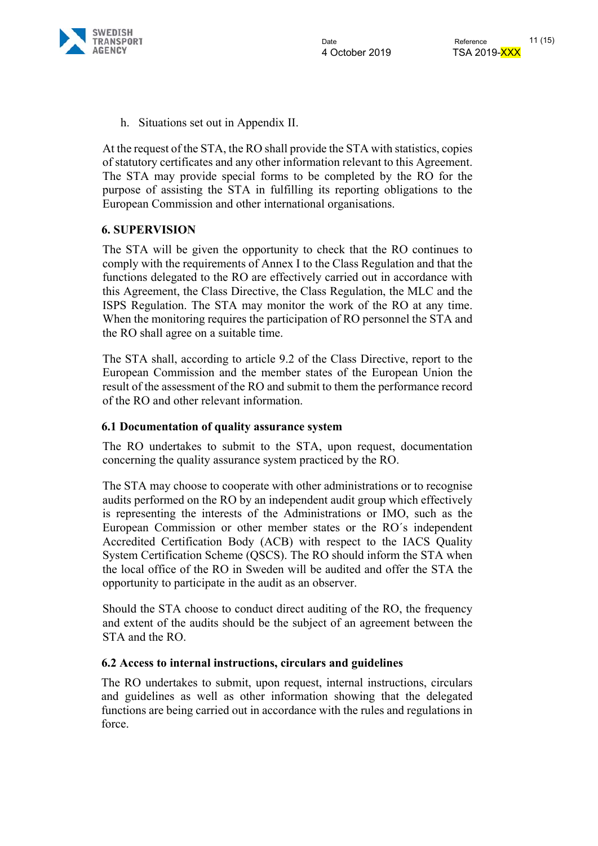

h. Situations set out in Appendix II.

At the request of the STA, the RO shall provide the STA with statistics, copies of statutory certificates and any other information relevant to this Agreement. The STA may provide special forms to be completed by the RO for the purpose of assisting the STA in fulfilling its reporting obligations to the European Commission and other international organisations.

#### **6. SUPERVISION**

The STA will be given the opportunity to check that the RO continues to comply with the requirements of Annex I to the Class Regulation and that the functions delegated to the RO are effectively carried out in accordance with this Agreement, the Class Directive, the Class Regulation, the MLC and the ISPS Regulation. The STA may monitor the work of the RO at any time. When the monitoring requires the participation of RO personnel the STA and the RO shall agree on a suitable time.

The STA shall, according to article 9.2 of the Class Directive, report to the European Commission and the member states of the European Union the result of the assessment of the RO and submit to them the performance record of the RO and other relevant information.

#### **6.1 Documentation of quality assurance system**

The RO undertakes to submit to the STA, upon request, documentation concerning the quality assurance system practiced by the RO.

The STA may choose to cooperate with other administrations or to recognise audits performed on the RO by an independent audit group which effectively is representing the interests of the Administrations or IMO, such as the European Commission or other member states or the RO´s independent Accredited Certification Body (ACB) with respect to the IACS Quality System Certification Scheme (QSCS). The RO should inform the STA when the local office of the RO in Sweden will be audited and offer the STA the opportunity to participate in the audit as an observer.

Should the STA choose to conduct direct auditing of the RO, the frequency and extent of the audits should be the subject of an agreement between the STA and the RO.

#### **6.2 Access to internal instructions, circulars and guidelines**

The RO undertakes to submit, upon request, internal instructions, circulars and guidelines as well as other information showing that the delegated functions are being carried out in accordance with the rules and regulations in force.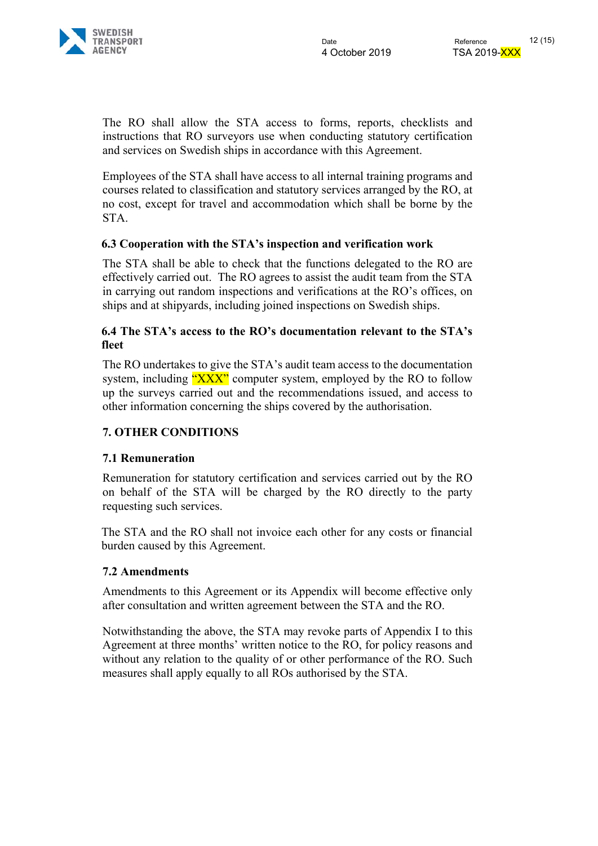The RO shall allow the STA access to forms, reports, checklists and instructions that RO surveyors use when conducting statutory certification and services on Swedish ships in accordance with this Agreement.

Employees of the STA shall have access to all internal training programs and courses related to classification and statutory services arranged by the RO, at no cost, except for travel and accommodation which shall be borne by the STA.

# **6.3 Cooperation with the STA's inspection and verification work**

The STA shall be able to check that the functions delegated to the RO are effectively carried out. The RO agrees to assist the audit team from the STA in carrying out random inspections and verifications at the RO's offices, on ships and at shipyards, including joined inspections on Swedish ships.

# **6.4 The STA's access to the RO's documentation relevant to the STA's fleet**

The RO undertakes to give the STA's audit team access to the documentation system, including " $\overline{XXX}$ " computer system, employed by the RO to follow up the surveys carried out and the recommendations issued, and access to other information concerning the ships covered by the authorisation.

# **7. OTHER CONDITIONS**

# **7.1 Remuneration**

Remuneration for statutory certification and services carried out by the RO on behalf of the STA will be charged by the RO directly to the party requesting such services.

The STA and the RO shall not invoice each other for any costs or financial burden caused by this Agreement.

# **7.2 Amendments**

Amendments to this Agreement or its Appendix will become effective only after consultation and written agreement between the STA and the RO.

Notwithstanding the above, the STA may revoke parts of Appendix I to this Agreement at three months' written notice to the RO, for policy reasons and without any relation to the quality of or other performance of the RO. Such measures shall apply equally to all ROs authorised by the STA.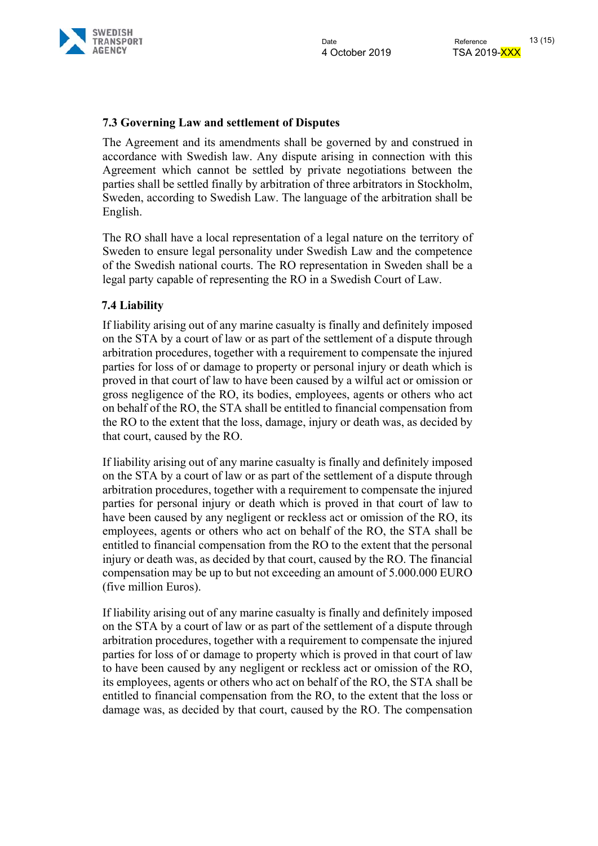

#### **7.3 Governing Law and settlement of Disputes**

The Agreement and its amendments shall be governed by and construed in accordance with Swedish law. Any dispute arising in connection with this Agreement which cannot be settled by private negotiations between the parties shall be settled finally by arbitration of three arbitrators in Stockholm, Sweden, according to Swedish Law. The language of the arbitration shall be English.

The RO shall have a local representation of a legal nature on the territory of Sweden to ensure legal personality under Swedish Law and the competence of the Swedish national courts. The RO representation in Sweden shall be a legal party capable of representing the RO in a Swedish Court of Law.

#### **7.4 Liability**

If liability arising out of any marine casualty is finally and definitely imposed on the STA by a court of law or as part of the settlement of a dispute through arbitration procedures, together with a requirement to compensate the injured parties for loss of or damage to property or personal injury or death which is proved in that court of law to have been caused by a wilful act or omission or gross negligence of the RO, its bodies, employees, agents or others who act on behalf of the RO, the STA shall be entitled to financial compensation from the RO to the extent that the loss, damage, injury or death was, as decided by that court, caused by the RO.

If liability arising out of any marine casualty is finally and definitely imposed on the STA by a court of law or as part of the settlement of a dispute through arbitration procedures, together with a requirement to compensate the injured parties for personal injury or death which is proved in that court of law to have been caused by any negligent or reckless act or omission of the RO, its employees, agents or others who act on behalf of the RO, the STA shall be entitled to financial compensation from the RO to the extent that the personal injury or death was, as decided by that court, caused by the RO. The financial compensation may be up to but not exceeding an amount of 5.000.000 EURO (five million Euros).

If liability arising out of any marine casualty is finally and definitely imposed on the STA by a court of law or as part of the settlement of a dispute through arbitration procedures, together with a requirement to compensate the injured parties for loss of or damage to property which is proved in that court of law to have been caused by any negligent or reckless act or omission of the RO, its employees, agents or others who act on behalf of the RO, the STA shall be entitled to financial compensation from the RO, to the extent that the loss or damage was, as decided by that court, caused by the RO. The compensation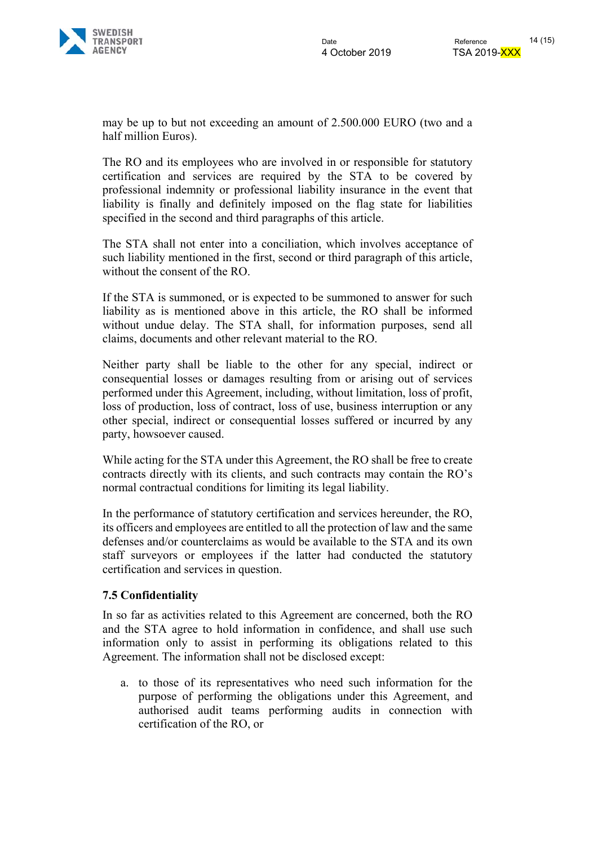

may be up to but not exceeding an amount of 2.500.000 EURO (two and a half million Euros).

The RO and its employees who are involved in or responsible for statutory certification and services are required by the STA to be covered by professional indemnity or professional liability insurance in the event that liability is finally and definitely imposed on the flag state for liabilities specified in the second and third paragraphs of this article.

The STA shall not enter into a conciliation, which involves acceptance of such liability mentioned in the first, second or third paragraph of this article, without the consent of the RO.

If the STA is summoned, or is expected to be summoned to answer for such liability as is mentioned above in this article, the RO shall be informed without undue delay. The STA shall, for information purposes, send all claims, documents and other relevant material to the RO.

Neither party shall be liable to the other for any special, indirect or consequential losses or damages resulting from or arising out of services performed under this Agreement, including, without limitation, loss of profit, loss of production, loss of contract, loss of use, business interruption or any other special, indirect or consequential losses suffered or incurred by any party, howsoever caused.

While acting for the STA under this Agreement, the RO shall be free to create contracts directly with its clients, and such contracts may contain the RO's normal contractual conditions for limiting its legal liability.

In the performance of statutory certification and services hereunder, the RO, its officers and employees are entitled to all the protection of law and the same defenses and/or counterclaims as would be available to the STA and its own staff surveyors or employees if the latter had conducted the statutory certification and services in question.

# **7.5 Confidentiality**

In so far as activities related to this Agreement are concerned, both the RO and the STA agree to hold information in confidence, and shall use such information only to assist in performing its obligations related to this Agreement. The information shall not be disclosed except:

a. to those of its representatives who need such information for the purpose of performing the obligations under this Agreement, and authorised audit teams performing audits in connection with certification of the RO, or